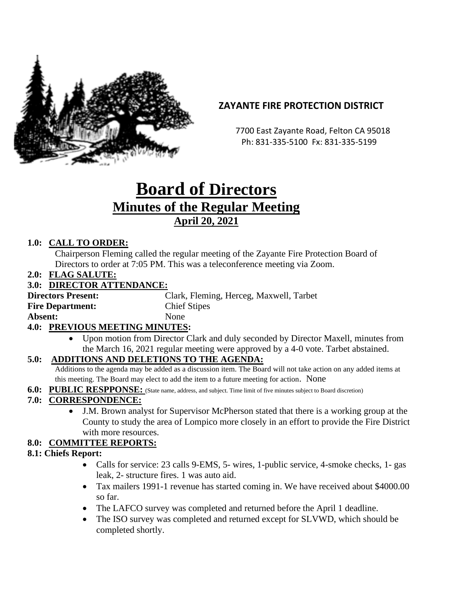

# **ZAYANTE FIRE PROTECTION DISTRICT**

 7700 East Zayante Road, Felton CA 95018 Ph: 831-335-5100 Fx: 831-335-5199

# **Board of Directors Minutes of the Regular Meeting April 20, 2021**

## **1.0: CALL TO ORDER:**

Chairperson Fleming called the regular meeting of the Zayante Fire Protection Board of Directors to order at 7:05 PM. This was a teleconference meeting via Zoom.

**2.0: FLAG SALUTE:**

#### **3.0: DIRECTOR ATTENDANCE:**

| <b>Directors Present:</b> | Clark, Fleming, Herceg, Maxwell, Tarbet |
|---------------------------|-----------------------------------------|
| <b>Fire Department:</b>   | <b>Chief Stipes</b>                     |
| Absent:                   | <b>None</b>                             |
|                           |                                         |

#### **4.0: PREVIOUS MEETING MINUTES:**

• Upon motion from Director Clark and duly seconded by Director Maxell, minutes from the March 16, 2021 regular meeting were approved by a 4-0 vote. Tarbet abstained.

## **5.0: ADDITIONS AND DELETIONS TO THE AGENDA:**

Additions to the agenda may be added as a discussion item. The Board will not take action on any added items at this meeting. The Board may elect to add the item to a future meeting for action. None

**6.0: PUBLIC RESPPONSE:** (State name, address, and subject. Time limit of five minutes subject to Board discretion)

## **7.0: CORRESPONDENCE:**

• J.M. Brown analyst for Supervisor McPherson stated that there is a working group at the County to study the area of Lompico more closely in an effort to provide the Fire District with more resources.

## **8.0: COMMITTEE REPORTS:**

#### **8.1: Chiefs Report:**

- Calls for service: 23 calls 9-EMS, 5- wires, 1-public service, 4-smoke checks, 1- gas leak, 2- structure fires. 1 was auto aid.
- Tax mailers 1991-1 revenue has started coming in. We have received about \$4000.00 so far.
- The LAFCO survey was completed and returned before the April 1 deadline.
- The ISO survey was completed and returned except for SLVWD, which should be completed shortly.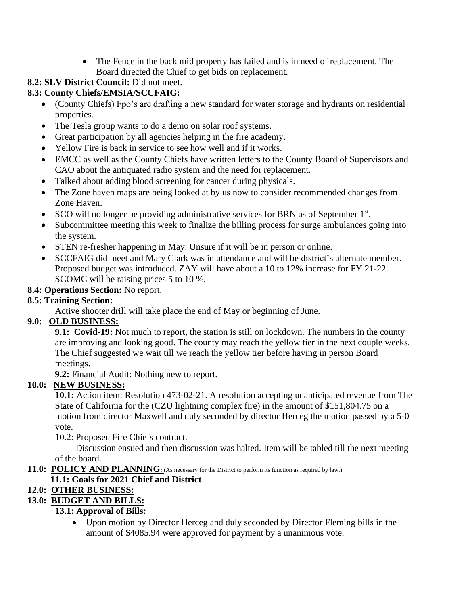• The Fence in the back mid property has failed and is in need of replacement. The Board directed the Chief to get bids on replacement.

# **8.2: SLV District Council:** Did not meet.

## **8.3: County Chiefs/EMSIA/SCCFAIG:**

- (County Chiefs) Fpo's are drafting a new standard for water storage and hydrants on residential properties.
- The Tesla group wants to do a demo on solar roof systems.
- Great participation by all agencies helping in the fire academy.
- Yellow Fire is back in service to see how well and if it works.
- EMCC as well as the County Chiefs have written letters to the County Board of Supervisors and CAO about the antiquated radio system and the need for replacement.
- Talked about adding blood screening for cancer during physicals.
- The Zone haven maps are being looked at by us now to consider recommended changes from Zone Haven.
- SCO will no longer be providing administrative services for BRN as of September  $1<sup>st</sup>$ .
- Subcommittee meeting this week to finalize the billing process for surge ambulances going into the system.
- STEN re-fresher happening in May. Unsure if it will be in person or online.
- SCCFAIG did meet and Mary Clark was in attendance and will be district's alternate member. Proposed budget was introduced. ZAY will have about a 10 to 12% increase for FY 21-22. SCOMC will be raising prices 5 to 10 %.

## **8.4: Operations Section:** No report.

## **8.5: Training Section:**

Active shooter drill will take place the end of May or beginning of June.

# **9.0: OLD BUSINESS:**

**9.1: Covid-19:** Not much to report, the station is still on lockdown. The numbers in the county are improving and looking good. The county may reach the yellow tier in the next couple weeks. The Chief suggested we wait till we reach the yellow tier before having in person Board meetings.

**9.2:** Financial Audit: Nothing new to report.

# **10.0: NEW BUSINESS:**

**10.1:** Action item: Resolution 473-02-21. A resolution accepting unanticipated revenue from The State of California for the (CZU lightning complex fire) in the amount of \$151,804.75 on a motion from director Maxwell and duly seconded by director Herceg the motion passed by a 5-0 vote.

10.2: Proposed Fire Chiefs contract.

 Discussion ensued and then discussion was halted. Item will be tabled till the next meeting of the board.

**11.0: POLICY AND PLANNING**: (As necessary for the District to perform its function as required by law.)

# **11.1: Goals for 2021 Chief and District**

# **12.0: OTHER BUSINESS:**

## **13.0: BUDGET AND BILLS:**

## **13.1: Approval of Bills:**

• Upon motion by Director Herceg and duly seconded by Director Fleming bills in the amount of \$4085.94 were approved for payment by a unanimous vote.